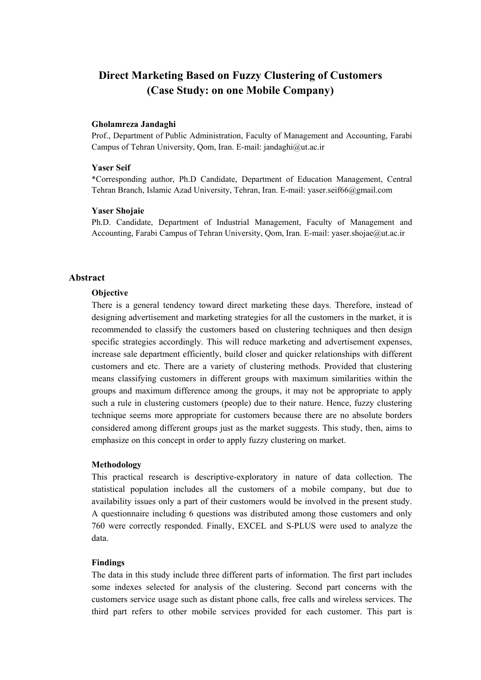# **Direct Marketing Based on Fuzzy Clustering of Customers (Case Study: on one Mobile Company)**

### **Gholamreza Jandaghi**

Prof., Department of Public Administration, Faculty of Management and Accounting, Farabi Campus of Tehran University, Qom, Iran. E-mail: jandaghi@ut.ac.ir

### **Yaser Seif**

\*Corresponding author, Ph.D Candidate, Department of Education Management, Central Tehran Branch, Islamic Azad University, Tehran, Iran. E-mail: yaser.seif66@gmail.com

### **Yaser Shojaie**

Ph.D. Candidate, Department of Industrial Management, Faculty of Management and Accounting, Farabi Campus of Tehran University, Qom, Iran. E-mail: yaser.shojae@ut.ac.ir

### **Abstract**

#### **Objective**

There is a general tendency toward direct marketing these days. Therefore, instead of designing advertisement and marketing strategies for all the customers in the market, it is recommended to classify the customers based on clustering techniques and then design specific strategies accordingly. This will reduce marketing and advertisement expenses, increase sale department efficiently, build closer and quicker relationships with different customers and etc. There are a variety of clustering methods. Provided that clustering means classifying customers in different groups with maximum similarities within the groups and maximum difference among the groups, it may not be appropriate to apply such a rule in clustering customers (people) due to their nature. Hence, fuzzy clustering technique seems more appropriate for customers because there are no absolute borders considered among different groups just as the market suggests. This study, then, aims to emphasize on this concept in order to apply fuzzy clustering on market.

### **Methodology**

This practical research is descriptive-exploratory in nature of data collection. The statistical population includes all the customers of a mobile company, but due to availability issues only a part of their customers would be involved in the present study. A questionnaire including 6 questions was distributed among those customers and only 760 were correctly responded. Finally, EXCEL and S-PLUS were used to analyze the data.

### **Findings**

The data in this study include three different parts of information. The first part includes some indexes selected for analysis of the clustering. Second part concerns with the customers service usage such as distant phone calls, free calls and wireless services. The third part refers to other mobile services provided for each customer. This part is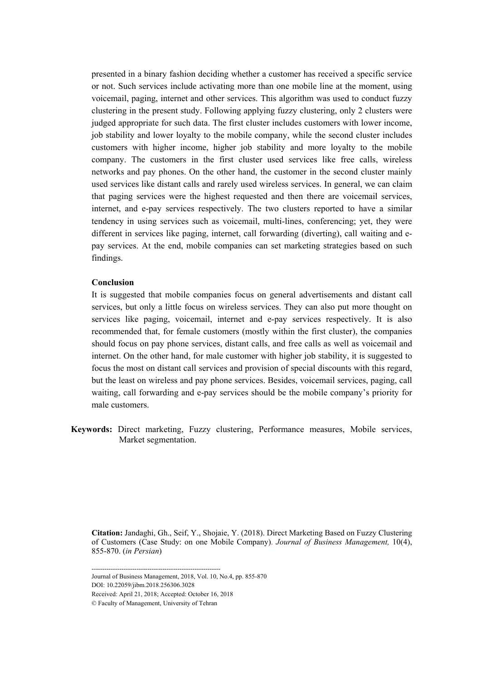presented in a binary fashion deciding whether a customer has received a specific service or not. Such services include activating more than one mobile line at the moment, using voicemail, paging, internet and other services. This algorithm was used to conduct fuzzy clustering in the present study. Following applying fuzzy clustering, only 2 clusters were judged appropriate for such data. The first cluster includes customers with lower income, job stability and lower loyalty to the mobile company, while the second cluster includes customers with higher income, higher job stability and more loyalty to the mobile company. The customers in the first cluster used services like free calls, wireless networks and pay phones. On the other hand, the customer in the second cluster mainly used services like distant calls and rarely used wireless services. In general, we can claim that paging services were the highest requested and then there are voicemail services, internet, and e-pay services respectively. The two clusters reported to have a similar tendency in using services such as voicemail, multi-lines, conferencing; yet, they were different in services like paging, internet, call forwarding (diverting), call waiting and epay services. At the end, mobile companies can set marketing strategies based on such findings.

### **Conclusion**

It is suggested that mobile companies focus on general advertisements and distant call services, but only a little focus on wireless services. They can also put more thought on services like paging, voicemail, internet and e-pay services respectively. It is also recommended that, for female customers (mostly within the first cluster), the companies should focus on pay phone services, distant calls, and free calls as well as voicemail and internet. On the other hand, for male customer with higher job stability, it is suggested to focus the most on distant call services and provision of special discounts with this regard, but the least on wireless and pay phone services. Besides, voicemail services, paging, call waiting, call forwarding and e-pay services should be the mobile company's priority for male customers.

 **Keywords:** Direct marketing, Fuzzy clustering, Performance measures, Mobile services, Market segmentation.

**Citation:** Jandaghi, Gh., Seif, Y., Shojaie, Y. (2018). Direct Marketing Based on Fuzzy Clustering of Customers (Case Study: on one Mobile Company). *Journal of Business Management,* 10(4), 855-870. (*in Persian*)

DOI: 10.22059/jibm.2018.256306.3028 ------------------------------------------------------------ Journal of Business Management, 2018, Vol. 10, No.4, pp. 855-870

Received: April 21, 2018; Accepted: October 16, 2018

<sup>©</sup> Faculty of Management, University of Tehran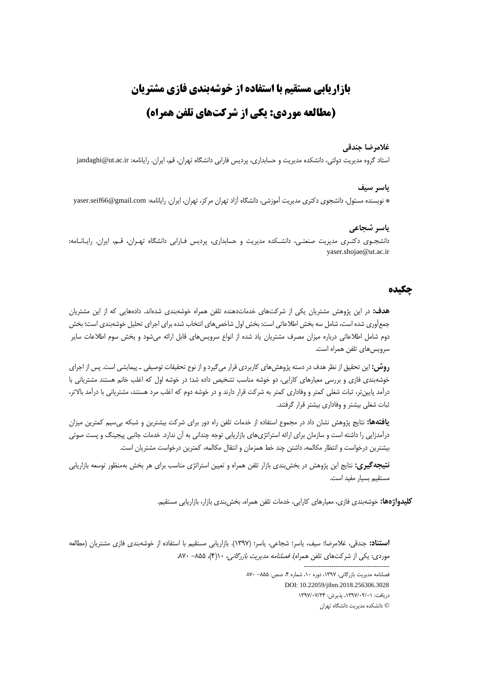# **بازاریابی مستقیم با استفاده از خوشهبندی فازی مشتریان )مطالعه موردی: یکی از شرکتهای تلفن همراه(**

### **غالمرضا جندقی**

استاد گروه مدیریت دولتی، دانشکده مدیریت و حسابداری، پردیس فارابی دانشگاه تهران، قم، ایران. رایانامه: ir.ac.ut@jandaghi

### **یاسر سیف**

\* نویسنده مسئول، دانشجوی دکتری مدیریت آموزشی، دانشگاه آزاد تهران مرکز، تهران، ایران. رایانامه: com.gmail@66seif.yaser

### **یاسر شجاعی**

دانشجـوی دکتـری مدیریت صنعتـی، دانشـکده مدیریت و حسابداری، پردیس فـارابی دانشگاه تهـران، قـم، ایران. رایـانـامه: yaser.shojae@ut.ac.ir

### **چکیده**

**هدف:** در این پژوهش مشتریان یکی از شرکتهای خدماتدهنده تلفن همراه خوشهبندی شدهاند. دادههایی که از این مشتریان جمعآوری شده است، شامل سه بخش اطالعاتی است: بخش اول شاخصهای انتخاب شده برای اجرای تحلیل خوشهبندی است؛ بخش دوم شامل اطالعاتی درباره میزان مصرف مشتریان یاد شده از انواع سرویسهای قابل ارائه میشود و بخش سوم اطالعات سایر سرویسهای تلفن همراه است.

**روش:** این تحقیق از نظر هدف در دسته پژوهشهای کاربردی قرار میگیرد و از نوع تحقیقات توصیفی ـ پیمایشی است. پس از اجرای خوشهبندی فازی و بررسی معیارهای کارایی، دو خوشه مناسب تشخیص داده شد؛ در خوشه اول که اغلب خانم هستند مشتریانی با درآمد پایینتر، ثبات شغلی کمتر و وفاداری کمتر به شرکت قرار دارند و در خوشه دوم که اغلب مرد هستند، مشتریانی با درآمد باالتر، ثبات شغلی بیشتر و وفاداری بیشتر قرار گرفتند.

**یافتهها:** نتایج پژوهش نشان داد در مجموع استفاده از خدمات تلفن راه دور برای شرکت بیشترین و شبکه بیسیم کمترین میزان درآمدزایی را داشته است و سازمان برای ارائه استراتژیهای بازاریابی توجه چندانی به آن ندارد. خدمات جانبی پیجینگ و پست صوتی بیشترین درخواست و انتظار مکالمه، داشتن چند خط همزمان و انتقال مکالمه، کمترین درخواست مشتریان است.

**نتیجهگیری:** نتایج این پژوهش در بخشبندی بازار تلفن همراه و تعیین استراتژی مناسب برای هر بخش بهمنظور توسعه بازاریابی مستقیم بسیار مفید است.

**کلیدواژهها:** خوشهبندی فازی، معیارهای کارایی، خدمات تلفن همراه، بخشبندی بازار، بازاریابی مستقیم.

**استناد:** جندقی، غالمرضا؛ سیف، یاسر؛ شجاعی، یاسر؛ )7931(. بازاریابی مستقیم با استفاده از خوشهبندی فازی مشتریان )مطالعه موردی: یکی از شرکتهای تلفن همراه). *فصلنامه مدیریت بازرگانی، ۱۰*(۴)، ۸۵۵– ۸۷۰.

> فصلنامه مدیریت بازرگانی، ۱۳۹۷، دوره ۱۰، شماره ۴، صص. ۸۵۵- ۸۷۰ DOI: 10.22059/jibm.2018.256306.3028 دریافت: ،7931/10/17 پذیرش: 7931/11/04 © دانشکده مدیریت دانشگاه تهران

----------------------------------------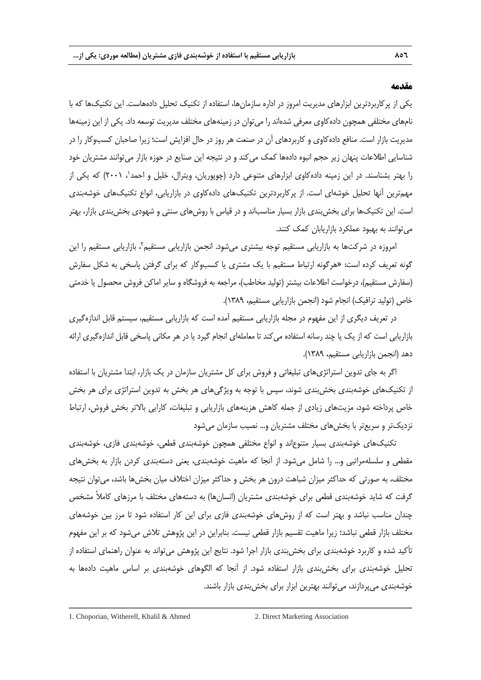### **مقدمه**

یکی از پرکاربردترین ابزارهای مدیریت امروز در اداره سازمانها، استفاده از تکنیک تحلیل دادههاست. این تکنیکها که با نامهای مختلفی همچون دادهکاوی معرفی شدهاند را میتوان در زمینههای مختلف مدیریت توسعه داد. یکی از این زمینهها مدیریت بازار است. منافع دادهکاوی و کاربردهای آن در صنعت هر روز در حال افزایش است؛ زیرا صاحبان کسبوکار را در شناسایی اطلاعات پنهان زیر حجم انبوه دادهها کمک میکند و در نتیجه این صنایع در حوزه بازار میتوانند مشتریان خود را بهتر بشناسند. در این زمینه دادهکاوی ابزارهای متنوعی دارد (چوپوریان، ویترال، خلیل و احمد'، ۲۰۰۱) که یکی از مهمترین آنها تحلیل خوشهای است. از پرکاربردترین تکنیکهای دادهکاوی در بازاریابی، انواع تکنیکهای خوشهبندی است. این تکنیکها برای بخشبندی بازار بسیار مناسباند و در قیاس با روشهای سنتی و شهودی بخشبندی بازار، بهتر میتوانند به بهبود عملکرد بازاریابان کمک کنند.

امروزه در شرکتها به بازاریابی مستقیم توجه بیشتری میشود. انجمن بازاریابی مستقیم ٌ، بازاریابی مستقیم را این گونه تعریف کرده است: »هرگونه ارتباط مستقیم با یک مشتری یا کسبوکار که برای گرفتن پاسخی به شکل سفارش )سفارش مستقیم(، درخواست اطالعات بیشتر )تولید مخاطب(، مراجعه به فروشگاه و سایر اماکن فروش محصول یا خدمتی خاص (تولید ترافیک) انجام شود (انجمن بازاریابی مستقیم، ۱۳۸۹).

در تعریف دیگری از این مفهوم در مجله بازاریابی مستقیم آمده است که بازاریابی مستقیم، سیستم قابل اندازهگیری بازاریابی است که از یک یا چند رسانه استفاده میکند تا معاملهای انجام گیرد یا در هر مکانی پاسخی قابل اندازهگیری ارائه دهد )انجمن بازاریابی مستقیم، 7953(.

اگر به جای تدوین استراتژیهای تبلیغاتی و فروش برای کل مشتریان سازمان در یک بازار، ابتدا مشتریان با استفاده از تکنیکهای خوشهبندی بخشبندی شوند، سپس با توجه به ویژگیهای هر بخش به تدوین استراتژی برای هر بخش خاص پرداخته شود، مزیتهای زیادی از جمله کاهش هزینههای بازاریابی و تبلیغات، کارایی باالتر بخش فروش، ارتباط نزدیکتر و سریعتر با بخشهای مختلف مشتریان و... نصیب سازمان میشود

تکنیکهای خوشهبندی بسیار متنوعاند و انواع مختلفی همچون خوشهبندی قطعی، خوشهبندی فازی، خوشهبندی مقطعی و سلسلهمراتبی و... را شامل میشود. از آنجا که ماهیت خوشهبندی، یعنی دستهبندی کردن بازار به بخشهای مختلف، به صورتی که حداکثر میزان شباهت درون هر بخش و حداکثر میزان اختالف میان بخشها باشد، میتوان نتیجه گرفت که شاید خوشهبندی قطعی برای خوشهبندی مشتریان (انسانها) به دستههای مختلف با مرزهای کاملاً مشخص چندان مناسب نباشد و بهتر است که از روشهای خوشهبندی فازی برای این کار استفاده شود تا مرز بین خوشههای مختلف بازار قطعی نباشد؛ زیرا ماهیت تقسیم بازار قطعی نیست. بنابراین در این پژوهش تالش میشود که بر این مفهوم تأکید شده و کاربرد خوشهبندی برای بخشبندی بازار اجرا شود. نتایج این پژوهش میتواند به عنوان راهنمای استفاده از تحلیل خوشهبندی برای بخشبندی بازار استفاده شود. از آنجا که الگوهای خوشهبندی بر اساس ماهیت دادهها به خوشهبندی میپردازند، میتوانند بهترین ابزار برای بخشبندی بازار باشند.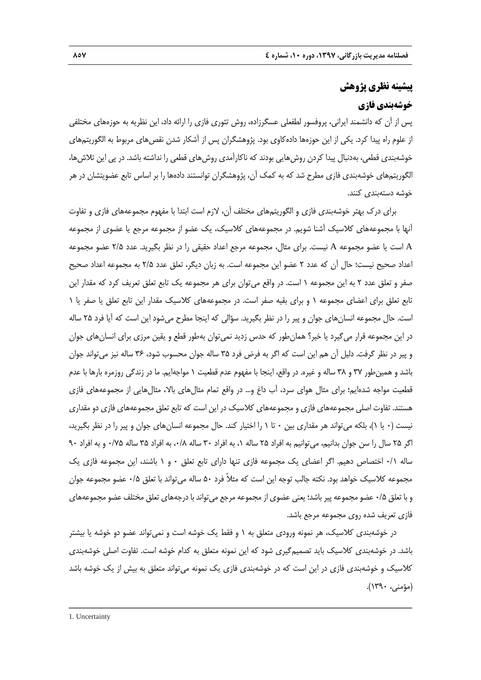# **پیشینه نظری پژوهش**

# **خوشهبندی فازی**

پس از آن که دانشمند ایرانی، پروفسور لطفعلی عسگرزاده، روش تئوری فازی را ارائه داد، این نظریه به حوزههای مختلفی از علوم راه پیدا کرد. یکی از این حوزهها دادهکاوی بود. پژوهشگران پس از آشکار شدن نقصهای مربوط به الگوریتمهای خوشهبندی قطعی، بهدنبال پیدا کردن روش هایی بودند که ناکارآمدی روش های قطعی را نداشته باشد. در پی این تلاش ها، الگوریتمهای خوشهبندی فازی مطرح شد که به کمک آن، پژوهشگران توانستند دادهها را بر اساس تابع عضویتشان در هر خوشه دستهبندی کنند.

برای درک بهتر خوشهبندی فازی و الگوریتمهای مختلف آن، الزم است ابتدا با مفهوم مجموعههای فازی و تفاوت آنها با مجموعههای کالسیک آشنا شویم. در مجموعههای کالسیک، یک عضو از مجموعه مرجع یا عضوی از مجموعه A است یا عضو مجموعه A نیست. برای مثال، مجموعه مرجع اعداد حقیقی را در نظر بگیرید. عدد 0/8 عضو مجموعه اعداد صحیح نیست؛ حال آن که عدد 0 عضو این مجموعه است. به زبان دیگر، تعلق عدد 0/8 به مجموعه اعداد صحیح صفر و تعلق عدد 0 به این مجموعه 7 است. در واقع میتوان برای هر مجموعه یک تابع تعلق تعریف کرد که مقدار این تابع تعلق برای اعضای مجموعه 7 و برای بقیه صفر است. در مجموعههای کالسیک مقدار این تابع تعلق یا صفر یا 7 است. حال مجموعه انسانهای جوان و پیر را در نظر بگیرید. سؤالی که اینجا مطرح میشود این است که آیا فرد 08 ساله در این مجموعه قرار میگیرد یا خیر؟ همانطور که حدس زدید نمیتوان بهطور قطع و یقین مرزی برای انسانهای جوان و پیر در نظر گرفت. دلیل آن هم این است که اگر به فرض فرد 98 ساله جوان محسوب شود، 93 ساله نیز میتواند جوان باشد و همینطور 91 و 95 ساله و غیره. در واقع، اینجا با مفهوم عدم قطعیت 7 مواجهایم. ما در زندگی روزمره بارها با عدم قطعیت مواجه شدهایم؛ برای مثال هوای سرد، آب داغ و... در واقع تمام مثالهای باال، مثالهایی از مجموعههای فازی هستند. تفاوت اصلی مجموعههای فازی و مجموعههای کالسیک در این است که تابع تعلق مجموعههای فازی دو مقداری نیست )1 یا 7(، بلکه میتواند هر مقداری بین 1 تا 7 را اختیار کند. حال مجموعه انسانهای جوان و پیر را در نظر بگیرید، اگر 08 سال را سن جوان بدانیم، میتوانیم به افراد 08 ساله ،7 به افراد 91 ساله ،1/5 به افراد 98 ساله 1/18 و به افراد 31 ساله 1/7 اختصاص دهیم. اگر اعضای یک مجموعه فازی تنها دارای تابع تعلق 1 و 7 باشند، این مجموعه فازی یک مجموعه کالسیک خواهد بود. نکته جالب توجه این است که مثالً فرد 81 ساله میتواند با تعلق 1/8 عضو مجموعه جوان و با تعلق 1/8 عضو مجموعه پیر باشد؛ یعنی عضوی از مجموعه مرجع میتواند با درجههای تعلق مختلف عضو مجموعههای فازی تعریف شده روی مجموعه مرجع باشد.

در خوشهبندی کالسیک، هر نمونه ورودی متعلق به 7 و فقط یک خوشه است و نمیتواند عضو دو خوشه یا بیشتر باشد. در خوشهبندی کالسیک باید تصمیمگیری شود که این نمونه متعلق به کدام خوشه است. تفاوت اصلی خوشهبندی کالسیک و خوشهبندی فازی در این است که در خوشهبندی فازی یک نمونه میتواند متعلق به بیش از یک خوشه باشد )مؤمنی، 7931(.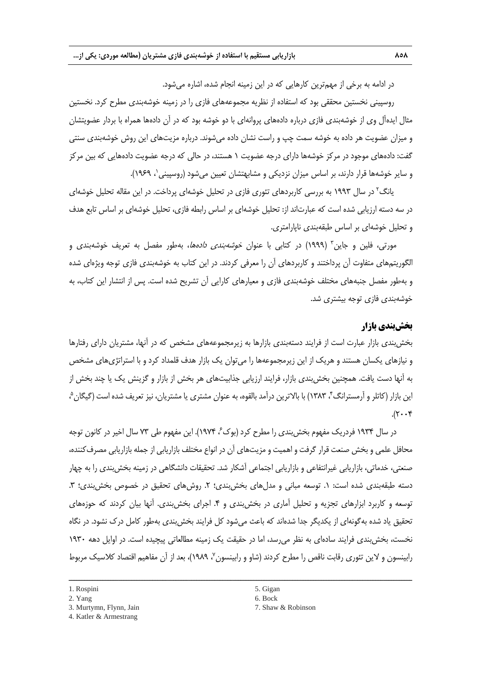در ادامه به برخی از مهمترین کارهایی که در این زمینه انجام شده، اشاره میشود.

روسپینی نخستین محققی بود که استفاده از نظریه مجموعههای فازی را در زمینه خوشهبندی مطرح کرد. نخستین مثال ایدهآل وی از خوشهبندی فازی درباره دادههای پروانهای با دو خوشه بود که در آن دادهها همراه با بردار عضویتشان و میزان عضویت هر داده به خوشه سمت چپ و راست نشان داده میشوند. درباره مزیتهای این روش خوشهبندی سنتی گفت: دادههای موجود در مرکز خوشهها دارای درجه عضویت 7 هستند، در حالی که درجه عضویت دادههایی که بین مرکز و سایر خوشهها قرار دارند، بر اساس میزان نزدیکی و مشابهتشان تعیین میشود (روسپینی'، ۱۹۶۹).

یانگ<sup>۲</sup> در سال ۱۹۹۳ به بررسی کاربردهای تئوری فازی در تحلیل خوشهای پرداخت. در این مقاله تحلیل خوشهای در سه دسته ارزیابی شده است که عبارتاند از: تحلیل خوشهای بر اساس رابطه فازی، تحلیل خوشهای بر اساس تابع هدف و تحلیل خوشهای بر اساس طبقهبندی ناپارامتری.

مورتی، فلین و جاین<sup>۳</sup> (۱۹۹۹) در کتابی با عنوان *خوشهبندی دادهها*، بهطور مفصل به تعریف خوشهبندی و الگوریتمهای متفاوت آن پرداختند و کاربردهای آن را معرفی کردند. در این کتاب به خوشهبندی فازی توجه ویژهای شده و بهطور مفصل جنبههای مختلف خوشهبندی فازی و معیارهای کارایی آن تشریح شده است. پس از انتشار این کتاب، به خوشهبندی فازی توجه بیشتری شد.

### **بخشبندی بازار**

بخشبندی بازار عبارت است از فرایند دستهبندی بازارها به زیرمجموعههای مشخص که در آنها، مشتریان دارای رفتارها و نیازهای یکسان هستند و هریک از این زیرمجموعهها را میتوان یک بازار هدف قلمداد کرد و با استراتژیهای مشخص به آنها دست یافت. همچنین بخشبندی بازار، فرایند ارزیابی جذابیتهای هر بخش از بازار و گزینش یک یا چند بخش از 'ین بازار (کاتلر و اّرمسترانگ'ً، ۱۳۸۳) با بالاترین دراّمد بالقوه، به عنوان مشتری یا مشتریان، نیز تعریف شده است (گیگان<sup>م</sup> ،  $.17.7$ 

در سال ۱۹۳۴ فردریک مفهوم بخش بندی را مطرح کرد (بوک $\zeta$  ۱۹۷۴). این مفهوم طی ۷۳ سال اخیر در کانون توجه محافل علمی و بخش صنعت قرار گرفت و اهمیت و مزیتهای آن در انواع مختلف بازاریابی از جمله بازاریابی مصرفکننده، صنعتی، خدماتی، بازاریابی غیرانتفاعی و بازاریابی اجتماعی آشکار شد. تحقیقات دانشگاهی در زمینه بخشبندی را به چهار دسته طبقهبندی شده است: ١. توسعه مبانی و مدلهای بخشبندی؛ ٢. روشهای تحقیق در خصوص بخش بندی؛ ٣. توسعه و کاربرد ابزارهای تجزیه و تحلیل آماری در بخش بندی و ۴. اجرای بخش بندی. آنها بیان کردند که حوزههای تحقیق یاد شده بهگونهای از یکدیگر جدا شدهاند که باعث میشود کل فرایند بخشبندی بهطور کامل درک نشود. در نگاه نخست، بخشبندی فرایند سادهای به نظر میرسد، اما در حقیقت یک زمینه مطالعاتی پیچیده است. در اوایل دهه 7391 رابینسون و لاین تئوری رقابت ناقص را مطرح کردند (شاو و رابینسون<sup>۷</sup>، ۱۹۸۹)، بعد از آن مفاهیم اقتصاد کلاسیک مربوط

- 2. Yang
- 3. Murtymn, Flynn, Jain
- 4. Katler & Armestrang
- 5. Gigan
- 6. Bock
- 7. Shaw & Robinson

<sup>1.</sup> Rospini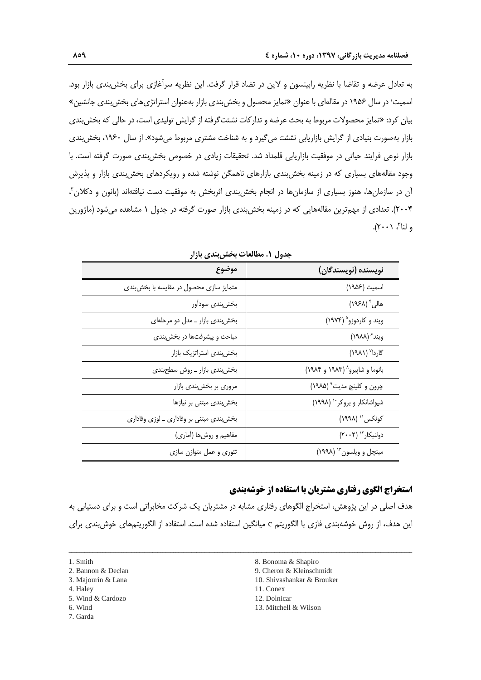به تعادل عرضه و تقاضا با نظریه رابینسون و الین در تضاد قرار گرفت. این نظریه سرآغازی برای بخشبندی بازار بود. اسمیت<sup>،</sup> در سال ۱۹۵۶ در مقالهای با عنوان «تمایز محصول و بخش بندی بازار بهعنوان استراتژیهای بخش بندی جانشین» بیان کرد: »تمایز محصوالت مربوط به بحث عرضه و تدارکات نشئتگرفته از گرایش تولیدی است، در حالی که بخشبندی بازار بهصورت بنیادی از گرایش بازاریابی نشئت میگیرد و به شناخت مشتری مربوط میشود«. از سال ،7331 بخشبندی بازار نوعی فرایند حیاتی در موفقیت بازاریابی قلمداد شد. تحقیقات زیادی در خصوص بخشبندی صورت گرفته است. با وجود مقالههای بسیاری که در زمینه بخشبندی بازارهای ناهمگن نوشته شده و رویکردهای بخشبندی بازار و پذیرش 0 آن در سازمانها، هنوز بسیاری از سازمانها در انجام بخشبندی اثربخش به موفقیت دست نیافتهاند )بانون و دکالن ، 0114(. تعدادی از مهمترین مقالههایی که در زمینه بخشبندی بازار صورت گرفته در جدول 7 مشاهده میشود )ماژورین و لنا"، ۲۰۰۱).

| موضوع                                   | نويسنده (نويسندگان)                |
|-----------------------------------------|------------------------------------|
| متمایز سازی محصول در مقایسه با بخشبندی  | اسميت (١٩۵۶)                       |
| بخشبندى سودأور                          | هالی ۴ (۱۹۶۸)                      |
| بخشبندی بازار _ مدل دو مرحلهای          | ویند و کاردوزو <sup>ه</sup> (۱۹۷۴) |
| مباحث و پیشرفتها در بخشبندی             | ويند ً (١٩٨٨)                      |
| بخشبندى استراتژيک بازار                 | گاردا <sup>۷</sup> (۱۹۸۱)          |
| بخش بندى بازار _ روش سطح بندى           | بانوما و شاپیرو^ (۱۹۸۳ و ۱۹۸۴)     |
| مروری بر بخشبندی بازار                  | چرون و کلینچ مدیت ٩ (١٩٨۵)         |
| بخشبندی مبتنی بر نیازها                 | شیواشانکار و بروکر `` (١٩٩٨)       |
| بخشبندی مبتنی بر وفاداری ـ لوزی وفاداری | کونکس'' (۱۹۹۸)                     |
| مفاهیم و روشها (آماری)                  | دولنيكار" (٢٠٠٢)                   |
| تئوري و عمل متوازن سازي                 | میتچل و ویلسون ۱۳ (۱۹۹۸)           |

**جدول .7 مطالعات بخشبندی بازار**

### **استخراج الگوی رفتاری مشتریان با استفاده از خوشهبندی**

هدف اصلی در این پژوهش، استخراج الگوهای رفتاری مشابه در مشتریان یک شرکت مخابراتی است و برای دستیابی به این هدف، از روش خوشهبندی فازی با الگوریتم c میانگین استفاده شده است. استفاده از الگوریتمهای خوشبندی برای

- 1. Smith
- 2. Bannon & Declan
- 3. Majourin & Lana
- 4. Haley
- 5. Wind & Cardozo
- 6. Wind
- 7. Garda
- 8. Bonoma & Shapiro
- 9. Cheron & Kleinschmidt
- 10. Shivashankar & Brouker
- 11. Conex
- 12. Dolnicar
- 13. Mitchell & Wilson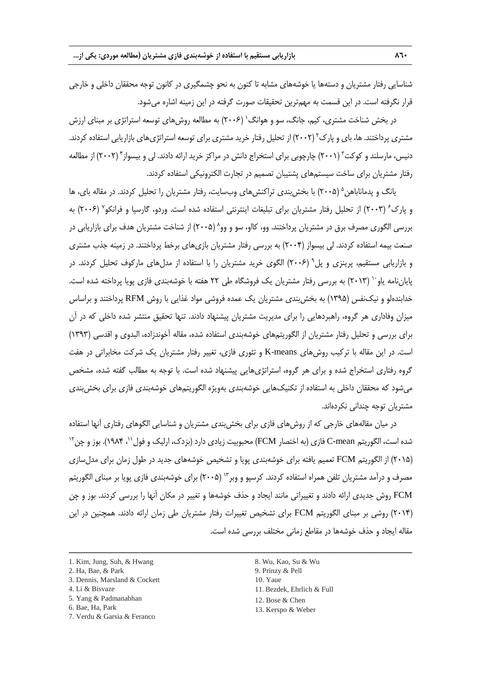شناسایی رفتار مشتریان و دستهها یا خوشههای مشابه تا کنون به نحو چشمگیری در کانون توجه محققان داخلی و خارجی قرار نگرفته است. در این قسمت به مهمترین تحقیقات صورت گرفته در این زمینه اشاره میشود.

در بخش شناخت مشتری، کیم، جانگ، سو و هوانگ' (۲۰۰۶) به مطالعه روشهای توسعه استراتژی بر مبنای ارزش مشتری پرداختند. ها، بای و پارک<sup>۲</sup> (۲۰۰۲) از تحلیل رفتار خرید مشتری برای توسعه استراتژیهای بازاریابی استفاده کردند. دنیس، مارسلند و کوکت ؓ (۲۰۰۱) چارچوبی برای استخراج دانش در مراکز خرید ارائه دادند. لی و بیسواز ٌ (۲۰۰۲) از مطالعه رفتار مشتریان برای ساخت سیستمهای پشتیبان تصمیم در تجارت الکترونیکی استفاده کردند.

یانگ و پدماناباهن<sup>۵</sup> (۲۰۰۵) با بخشبندی تراکنشهای وبسایت، رفتار مشتریان را تحلیل کردند. در مقاله بای، ها و پارک<sup>۶</sup> (۲۰۰۳) از تحلیل رفتار مشتریان برای تبلیغات اینترنتی استفاده شده است. وردو، گارسیا و فرانکو<sup>۷</sup> (۲۰۰۶) به بررسی الگوری مصرف برق در مشتریان پرداختند. وو، کااو، سو و وو^ (۲۰۰۵) از شناخت مشتریان هدف برای بازاریابی در صنعت بیمه استفاده کردند. لی بیسواز )0114( به بررسی رفتار مشتریان بازیهای برخط پرداختند. در زمینه جذب مشتری و بازاریابی مستقیم، پرینزی و پل° (۲۰۰۶) الگوی خرید مشتریان را با استفاده از مدلهای مارکوف تحلیل کردند. در پایان نامه پاو `` (٢٠١٣) به بررسی رفتار مشتریان یک فروشگاه طی ٢٢ هفته با خوشهبندی فازی پویا پرداخته شده است. خدابندهلو و نیکنفس )7938( به بخشبندی مشتریان یک عمده فروشی مواد غذایی با روش RFM پرداختند و براساس میزان وفاداری هر گروه، راهبردهایی را برای مدیریت مشتریان پیشنهاد دادند. تنها تحقیق منتشر شده داخلی که در آن برای بررسی و تحلیل رفتار مشتریان از الگوریتمهای خوشهبندی استفاده شده، مقاله آخوندزاده، البدوی و اقدسی )7939( است. در این مقاله با ترکیب روشهای means-K و تئوری فازی، تغییر رفتار مشتریان یک شرکت مخابراتی در هفت گروه رفتاری استخراج شده و برای هر گروه، استراتژیهایی پیشنهاد شده است. با توجه به مطالب گفته شده، مشخص میشود که محققان داخلی به استفاده از تکنیکهایی خوشهبندی بهویژه الگوریتمهای خوشهبندی فازی برای بخشبندی مشتریان توجه چندانی نکردهاند.

در میان مقالههای خارجی که از روشهای فازی برای بخشبندی مشتریان و شناسایی الگوهای رفتاری آنها استفاده شده است، الگوریتم C-mean فازی (به اختصار FCM) محبوبیت زیادی دارد (بزدک، ارلیک و فول``، ۱۹۸۴). بوز و چن`` )0178( از الگوریتم FCM تعمیم یافته برای خوشهبندی پویا و تشخیص خوشههای جدید در طول زمان برای مدلسازی مصرف و درآمد مشتریان تلفن همراه استفاده کردند. کرسپو و وبر ۱۳ (۲۰۰۵) برای خوشهبندی فازی پویا بر مبنای الگوریتم FCM روش جدیدی ارائه دادند و تغییراتی مانند ایجاد و حذف خوشهها و تغییر در مکان آنها را بررسی کردند. بوز و چن )0174( روشی بر مبنای الگوریتم FCM برای تشخیص تغییرات رفتار مشتریان طی زمان ارائه دادند. همچنین در این مقاله ایجاد و حذف خوشهها در مقاطع زمانی مختلف بررسی شده است.

ــــــــــــــــــــــــــــــــــــــــــــــــــــــــــــــــــــــــــــــــــــــــــــــــــــــــــــــــــــــــــــــــــــ

- 1. Kim, Jung, Suh, & Hwang
- 2. Ha, Bae, & Park
- 3. Dennis, Marsland & Cockett
- 4. Li & Bisvaze
- 5. Yang & Padmanabhan
- 6. Bae, Ha, Park
- 7. Verdu & Garsia & Feranco

8. Wu, Kao, Su & Wu 9. Prinzy & Pell 10. Yaue 11. Bezdek, Ehrlich & Full 12. Bose & Chen 13. Kerspo & Weber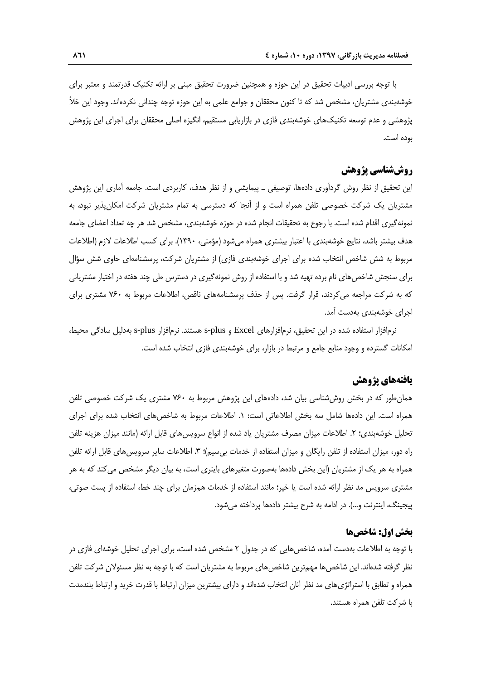با توجه بررسی ادبیات تحقیق در این حوزه و همچنین ضرورت تحقیق مبنی بر ارائه تکنیک قدرتمند و معتبر برای خوشهبندی مشتریان، مشخص شد که تا کنون محققان و جوامع علمی به این حوزه توجه چندانی نکردهاند. وجود این خأل پژوهشی و عدم توسعه تکنیکهای خوشهبندی فازی در بازاریابی مستقیم، انگیزه اصلی محققان برای اجرای این پژوهش بوده است.

## **روششناسی پژوهش**

این تحقیق از نظر روش گردآوری دادهها، توصیفی ـ پیمایشی و از نظر هدف، کاربردی است. جامعه آماری این پژوهش مشتریان یک شرکت خصوصی تلفن همراه است و از آنجا که دسترسی به تمام مشتریان شرکت امکانپذیر نبود، به نمونهگیری اقدام شده است. با رجوع به تحقیقات انجام شده در حوزه خوشهبندی، مشخص شد هر چه تعداد اعضای جامعه هدف بیشتر باشد، نتایج خوشهبندی با اعتبار بیشتری همراه میشود )مؤمنی، 7931(. برای کسب اطالعات الزم )اطالعات مربوط به شش شاخص انتخاب شده برای اجرای خوشهبندی فازی) از مشتریان شرکت، پرسشنامهای حاوی شش سؤال برای سنجش شاخصهای نام برده تهیه شد و با استفاده از روش نمونهگیری در دسترس طی چند هفته در اختیار مشتریانی که به شرکت مراجعه میکردند، قرار گرفت. پس از حذف پرسشنامههای ناقص، اطالعات مربوط به 131 مشتری برای اجرای خوشهبندی بهدست آمد.

نرمافزار استفاده شده در این تحقیق، نرمافزارهای Excel و plus-s هستند. نرمافزار plus-s بهدلیل سادگی محیط، امکانات گسترده و وجود منابع جامع و مرتبط در بازار، برای خوشهبندی فازی انتخاب شده است.

# **یافتههای پژوهش**

همانطور که در بخش روششناسی بیان شد، دادههای این پژوهش مربوط به 131 مشتری یک شرکت خصوصی تلفن همراه است. این دادهها شامل سه بخش اطلاعاتی است: ۱. اطلاعات مربوط به شاخصهای انتخاب شده برای اجرای تحلیل خوشهبندی؛ ۲. اطلاعات میزان مصرف مشتریان یاد شده از انواع سرویسهای قابل ارائه (مانند میزان هزینه تلفن راه دور، میزان استفاده از تلفن رایگان و میزان استفاده از خدمات بیسیم)؛ ۳. اطلاعات سایر سرویسهای قابل ارائه تلفن همراه به هر یک از مشتریان )این بخش دادهها بهصورت متغیرهای باینری است، به بیان دیگر مشخص میکند که به هر مشتری سرویس مد نظر ارائه شده است یا خیر؛ مانند استفاده از خدمات همزمان برای چند خط، استفاده از پست صوتی، پیجینگ، اینترنت و…). در ادامه به شرح بیشتر دادهها پرداخته میشود.

### **بخش اول: شاخصها**

با توجه به اطالعات بهدست آمده، شاخصهایی که در جدول 0 مشخص شده است، برای اجرای تحلیل خوشهای فازی در نظر گرفته شدهاند. این شاخص ها مهمترین شاخص های مربوط به مشتریان است که با توجه به نظر مسئولان شرکت تلفن همراه و تطابق با استراتژیهای مد نظر آنان انتخاب شدهاند و دارای بیشترین میزان ارتباط با قدرت خرید و ارتباط بلندمدت با شرکت تلفن همراه هستند.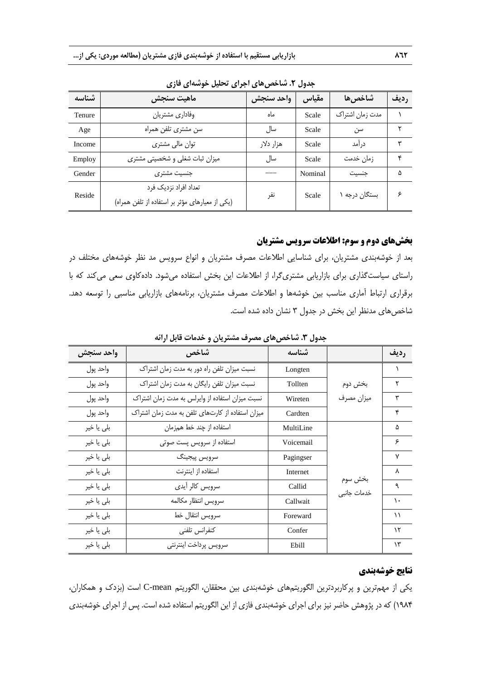| شناسه  | ماهيت سنجش                                                               | واحد سنجش | مقياس   | شاخصها          | رديف |
|--------|--------------------------------------------------------------------------|-----------|---------|-----------------|------|
| Tenure | وفاداري مشتريان                                                          | ماه       | Scale   | مدت زمان اشتراک |      |
| Age    | سن مشترى تلفن همراه                                                      | سال       | Scale   | سن              |      |
| Income | توان مالی مشتری                                                          | هزار دلار | Scale   | در آمد          | ۳    |
| Employ | میزان ثبات شغلی و شخصیتی مشتری                                           | سال       | Scale   | زمان خدمت       | ۴    |
| Gender | جنسیت مشتری                                                              |           | Nominal | حنست            | ۵    |
| Reside | تعداد افراد نزدیک فرد<br>(یکی از معیارهای مؤثر بر استفاده از تلفن همراه) | نفر       | Scale   | بستگان درجه ۱   | ۶    |

**جدول .8 شاخصهای اجرای تحلیل خوشهای فازی**

### **بخشهای دوم و سوم: اطالعات سرویس مشتریان**

بعد از خوشهبندی مشتریان، برای شناسایی اطالعات مصرف مشتریان و انواع سرویس مد نظر خوشههای مختلف در راستای سیاستگذاری برای بازاریابی مشتریگرا، از اطالعات این بخش استفاده میشود. دادهکاوی سعی میکند که با برقراری ارتباط آماری مناسب بین خوشهها و اطالعات مصرف مشتریان، برنامههای بازاریابی مناسبی را توسعه دهد. شاخصهای مدنظر این بخش در جدول 9 نشان داده شده است.

| واحد سنجش  | شاخص                                             | شناسه     |             | رديف      |
|------------|--------------------------------------------------|-----------|-------------|-----------|
| واحد پول   | نسبت میزان تلفن راه دور به مدت زمان اشتراک       | Longten   |             |           |
| واحد پول   | نسبت میزان تلفن رایگان به مدت زمان اشتراک        | Tollten   | بخش دوم     | ۲         |
| واحد يول   | نسبت میزان استفاده از وایرلس به مدت زمان اشتراک  | Wireten   | ميزان مصرف  | ٣         |
| واحد پول   | میزان استفاده از کارتهای تلفن به مدت زمان اشتراک | Cardten   |             | ۴         |
| بلی یا خیر | استفاده از چند خط همزمان                         | MultiLine |             | ۵         |
| بلی یا خیر | استفاده از سرويس پست صوتى                        | Voicemail |             | ۶         |
| بلی یا خیر | سرويس پيجينگ                                     | Pagingser |             | ٧         |
| بلی یا خیر | استفاده از اینترنت                               | Internet  | بخش سوم     | ٨         |
| بلی یا خیر | سرويس كالر آيدي                                  | Callid    | خدمات جانبى | ٩         |
| بلی یا خیر | سرويس انتظار مكالمه                              | Callwait  |             | ١.        |
| بلی یا خیر | سرويس انتقال خط                                  | Foreward  |             | ۱١        |
| بلی یا خیر | كنفرانس تلفنى                                    | Confer    |             | $\lambda$ |
| بلی یا خیر | سرويس پرداخت اينترنتي                            | Ebill     |             | ۱۳        |

**جدول .9 شاخصهای مصرف مشتریان و خدمات قابل ارائه**

# **نتایج خوشهبندی**

یکی از مهمترین و پرکاربردترین الگوریتمهای خوشهبندی بین محققان، الگوریتم mean-C است )بزدک و همکاران، 7354( که در پژوهش حاضر نیز برای اجرای خوشهبندی فازی از این الگوریتم استفاده شده است. پس از اجرای خوشهبندی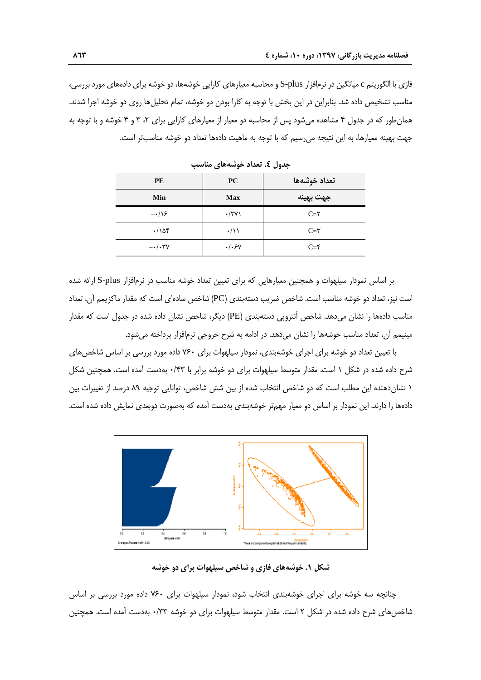فازی با الگوریتم c میانگین در نرمافزار plus-S و محاسبه معیارهای کارایی خوشهها، دو خوشه برای دادههای مورد بررسی، مناسب تشخیص داده شد. بنابراین در این بخش با توجه به کارا بودن دو خوشه، تمام تحلیلها روی دو خوشه اجرا شدند. همانطور که در جدول 4 مشاهده میشود پس از محاسبه دو معیار از معیارهای کارایی برای ،0 9 و 4 خوشه و با توجه به جهت بهینه معیارها، به این نتیجه میرسیم که با توجه به ماهیت دادهها تعداد دو خوشه مناسبتر است.

| <b>PE</b>                            | PC                  | تعداد خوشهها      |
|--------------------------------------|---------------------|-------------------|
| Min                                  | <b>Max</b>          | جهت بهينه         |
| $-\cdot/\sqrt{2}$                    | $\cdot$ /٢٧١        | $C = Y$           |
| $-\cdot/\lambda$                     | $\cdot/\rightarrow$ | $C = \tilde{r}$   |
| $-\cdot/\cdot \mathsf{r} \mathsf{v}$ | . / . 5V            | $C = \mathcal{F}$ |

**جدول .4 تعداد خوشههای مناسب**

بر اساس نمودار سیلهوات و همچنین معیارهایی که برای تعیین تعداد خوشه مناسب در نرمافزار plus-S ارائه شده است نیز، تعداد دو خوشه مناسب است. شاخص ضریب دستهبندی )PC )شاخص سادهای است که مقدار ماکزیمم آن، تعداد مناسب دادهها را نشان میدهد. شاخص آنتروپی دستهبندی (PE) دیگر، شاخص نشان داده شده در جدول است که مقدار مینیمم آن، تعداد مناسب خوشهها را نشان میدهد. در ادامه به شرح خروجی نرمافزار پرداخته میشود.

با تعیین تعداد دو خوشه برای اجرای خوشهبندی، نمودار سیلهوات برای 131 داده مورد بررسی بر اساس شاخصهای شرح داده شده در شکل 7 است. مقدار متوسط سیلهوات برای دو خوشه برابر با 1/49 بهدست آمده است. همچنین شکل 7 نشاندهنده این مطلب است که دو شاخص انتخاب شده از بین شش شاخص، توانایی توجیه 53 درصد از تغییرات بین دادهها را دارند. این نمودار بر اساس دو معیار مهمتر خوشهبندی بهدست آمده که بهصورت دوبعدی نمایش داده شده است.



**شکل .7 خوشههای فازی و شاخص سیلهوات برای دو خوشه**

چنانچه سه خوشه برای اجرای خوشهبندی انتخاب شود، نمودار سیلهوات برای 131 داده مورد بررسی بر اساس شاخصهای شرح داده شده در شکل 0 است. مقدار متوسط سیلهوات برای دو خوشه 1/99 بهدست آمده است. همچنین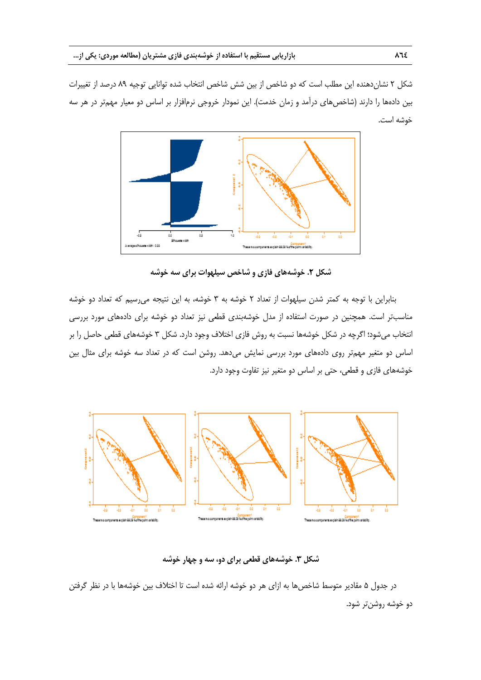شکل 0 نشاندهنده این مطلب است که دو شاخص از بین شش شاخص انتخاب شده توانایی توجیه 53 درصد از تغییرات بین دادهها را دارند (شاخصهای درآمد و زمان خدمت). این نمودار خروجی نرمافزار بر اساس دو معیار مهمتر در هر سه خوشه است.



**شکل .8 خوشههای فازی و شاخص سیلهوات برای سه خوشه**

بنابراین با توجه به کمتر شدن سیلهوات از تعداد 0 خوشه به 9 خوشه، به این نتیجه میرسیم که تعداد دو خوشه مناسبتر است. همچنین در صورت استفاده از مدل خوشهبندی قطعی نیز تعداد دو خوشه برای دادههای مورد بررسی انتخاب میشود؛ اگرچه در شکل خوشهها نسبت به روش فازی اختالف وجود دارد. شکل 9 خوشههای قطعی حاصل را بر اساس دو متغیر مهمتر روی دادههای مورد بررسی نمایش میدهد. روشن است که در تعداد سه خوشه برای مثال بین خوشههای فازی و قطعی، حتی بر اساس دو متغیر نیز تفاوت وجود دارد.



# **شکل .9 خوشههای قطعی برای دو، سه و چهار خوشه**

در جدول 8 مقادیر متوسط شاخصها به ازای هر دو خوشه ارائه شده است تا اختالف بین خوشهها با در نظر گرفتن دو خوشه روشنتر شود.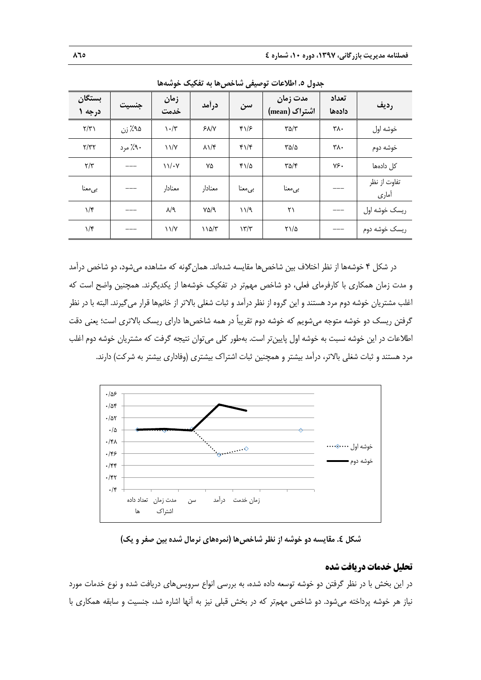|                         |         | $\overline{\phantom{a}}$          | $\bullet\bullet$<br>. u | ر … ت              | <i><u><b>Districts</b></u></i> |                     |                       |
|-------------------------|---------|-----------------------------------|-------------------------|--------------------|--------------------------------|---------------------|-----------------------|
| بستگان<br>درجه ۱        | جنسيت   | زمان<br>خدمت                      | درأمد                   | سن                 | مدت زمان<br>اشتراک (mean)      | تعداد<br>دادهها     | رديف                  |
| $\gamma/\gamma$         | ۹۵٪ زن  | $\mathcal{N} \cdot / \mathcal{N}$ | $5\lambda/\gamma$       | 41/5               | $\Gamma \Delta/\Upsilon$       | $\forall \lambda$ . | خوشه اول              |
| $\gamma/\gamma\gamma$   | ۹۰٪ مرد | $\frac{1}{\sqrt{2}}$              | $\lambda$ $\lambda$     | $f\$               | $\frac{1}{2}$                  | ٣٨٠                 | خوشه دوم              |
| $\mathbf{Y}/\mathbf{Y}$ |         | 11/4V                             | ٧۵                      | 41/2               | $\Gamma \Delta/\Upsilon$       | $Y^{\epsilon}$      | كل دادەھا             |
| بىمعنا                  |         | معنادار                           | معنادار                 | بىمعنا             | بى معنا                        |                     | تفاوت از نظر<br>أماري |
| $1/\mathfrak{r}$        |         | $\lambda$ /9                      | $Y\Delta$ /9            | 11/9               | ۲۱                             |                     | ريسک خوشه اول         |
| $1/\mathfrak{r}$        |         | $\frac{1}{\sqrt{2}}$              | 110/T                   | $\frac{1}{\gamma}$ | $\Gamma\backslash/\Delta$      |                     | ریسک خوشه دوم         |

**جدول .5 اطالعات توصیفی شاخصها به تفکیک خوشهها**

در شکل ۴ خوشهها از نظر اختلاف بین شاخص ها مقایسه شدهاند. همان گونه که مشاهده می شود، دو شاخص درآمد و مدت زمان همکاری با کارفرمای فعلی، دو شاخص مهمتر در تفکیک خوشهها از یکدیگرند. همچنین واضح است که اغلب مشتریان خوشه دوم مرد هستند و این گروه از نظر درآمد و ثبات شغلی باالتر از خانمها قرار میگیرند. البته با در نظر گرفتن ریسک دو خوشه متوجه میشویم که خوشه دوم تقریباً در همه شاخصها دارای ریسک باالتری است؛ یعنی دقت اطالعات در این خوشه نسبت به خوشه اول پایینتر است. بهطور کلی میتوان نتیجه گرفت که مشتریان خوشه دوم اغلب مرد هستند و ثبات شغلی بالاتر، درآمد بیشتر و همچنین ثبات اشتراک بیشتری (وفاداری بیشتر به شرکت) دارند.



**شکل .4 مقایسه دو خوشه از نظر شاخصها )نمرههای نرمال شده بین صفر و یک(**

### **تحلیل خدمات دریافت شده**

در این بخش با در نظر گرفتن دو خوشه توسعه داده شده، به بررسی انواع سرویسهای دریافت شده و نوع خدمات مورد نیاز هر خوشه پرداخته میشود. دو شاخص مهمتر که در بخش قبلی نیز به آنها اشاره شد، جنسیت و سابقه همکاری با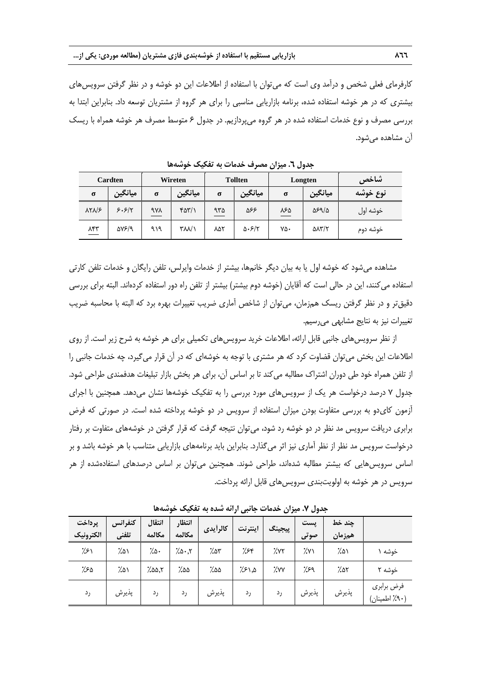کارفرمای فعلی شخص و درآمد وی است که می توان با استفاده از اطلاعات این دو خوشه و در نظر گرفتن سرویس های بیشتری که در هر خوشه استفاده شده، برنامه بازاریابی مناسبی را برای هر گروه از مشتریان توسعه داد. بنابراین ابتدا به بررسی مصرف و نوع خدمات استفاده شده در هر گروه میپردازیم. در جدول 3 متوسط مصرف هر خوشه همراه با ریسک آن مشاهده میشود.

| Cardten                                       |              | Wireten  |              |          | <b>Tollten</b><br>Longten |                             |                                    | شاخص     |
|-----------------------------------------------|--------------|----------|--------------|----------|---------------------------|-----------------------------|------------------------------------|----------|
| $\sigma$                                      | ميانگين      | $\sigma$ | ميانگين      | $\sigma$ | ميانگين                   | $\sigma$                    | ميانگين                            | نوع خوشه |
| $\lambda Y \lambda / 5$                       | 5.51         | 988      | $\text{rav}$ | ۹۳۵      | ۵۶۶                       | ۸۶۵                         | 589/5                              | خوشه اول |
| $\frac{\lambda \mathfrak{r} \mathfrak{r}}{ }$ | <b>AVS/9</b> | ۹۱۹      | <b>٣٨٨/١</b> | ۸۵۲      | $\Delta$ . $5/\tau$       | $\mathsf{v}\mathsf{a}\cdot$ | $\Delta \lambda \Upsilon/\Upsilon$ | خوشه دوم |

**جدول .8 میزان مصرف خدمات به تفکیک خوشهها**

مشاهده میشود که خوشه اول یا به بیان دیگر خانمها، بیشتر از خدمات وایرلس، تلفن رایگان و خدمات تلفن کارتی استفاده میکنند، این در حالی است که آقایان (خوشه دوم بیشتر) بیشتر از تلفن راه دور استفاده کردهاند. البته برای بررسی دقیقتر و در نظر گرفتن ریسک همزمان، میتوان از شاخص آماری ضریب تغییرات بهره برد که البته با محاسبه ضریب تغییرات نیز به نتایج مشابهی میرسیم.

از نظر سرویسهای جانبی قابل ارائه، اطالعات خرید سرویسهای تکمیلی برای هر خوشه به شرح زیر است. از روی اطالعات این بخش میتوان قضاوت کرد که هر مشتری با توجه به خوشهای که در آن قرار میگیرد، چه خدمات جانبی را از تلفن همراه خود طی دوران اشتراک مطالبه میکند تا بر اساس آن، برای هر بخش بازار تبلیغات هدفمندی طراحی شود. جدول 1 درصد درخواست هر یک از سرویسهای مورد بررسی را به تفکیک خوشهها نشان میدهد. همچنین با اجرای آزمون کایدو به بررسی متفاوت بودن میزان استفاده از سرویس در دو خوشه پرداخته شده است. در صورتی که فرض برابری دریافت سرویس مد نظر در دو خوشه رد شود، میتوان نتیجه گرفت که قرار گرفتن در خوشههای متفاوت بر رفتار درخواست سرویس مد نظر از نظر آماری نیز اثر میگذارد. بنابراین باید برنامههای بازاریابی متناسب با هر خوشه باشد و بر اساس سرویسهایی که بیشتر مطالبه شدهاند، طراحی شوند. همچنین میتوان بر اساس درصدهای استفادهشده از هر سرویس در هر خوشه به اولویتبندی سرویسهای قابل ارائه پرداخت.

| پرداخت    | كنفرانس | انتقال  | انتظار | كالرأيدى |         |               |          | اينترنت | پيجينگ                      | پست  | چند خط |  |
|-----------|---------|---------|--------|----------|---------|---------------|----------|---------|-----------------------------|------|--------|--|
| الكترونيك | تلفني   | مكالمه  | مكالمه |          |         |               |          |         |                             | صوتی | همزمان |  |
| 751       | 7.01    | $7.0 -$ | 7.0.7  | 7.05     | ٢٤٪     | $\frac{1}{2}$ | $\gamma$ | 7.01    | خوشه ۱                      |      |        |  |
| 7.۶۵      | 7.01    | 7.00,5  | ۵۵٪    | ۵۵٪      | ۵, ۶۱,۵ | %vv           | 759      | 7.07    | خوشه ۲                      |      |        |  |
| رد        | پذيرش   | رد      | رد     | پذيرش    | رد      | رد            | پذيرش    | پذيرش   | فرض برابري<br>(٩٠٪ اطمينان) |      |        |  |

**جدول .8 میزان خدمات جانبی ارائه شده به تفکیک خوشهها**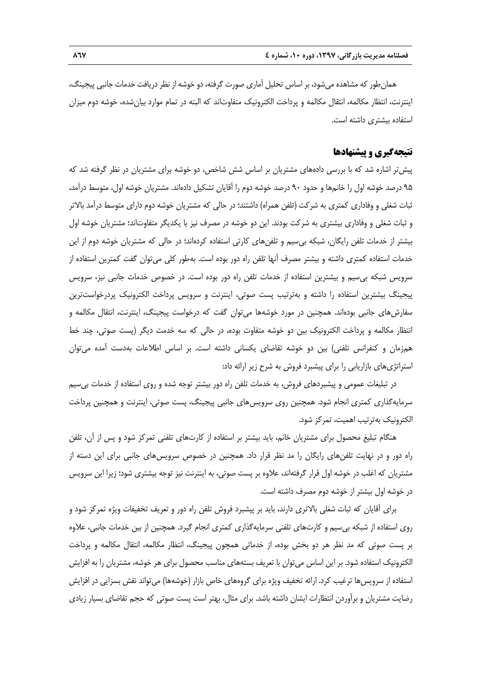همانطور که مشاهده میشود، بر اساس تحلیل آماری صورت گرفته، دو خوشه از نظر دریافت خدمات جانبی پیجینگ، اینترنت، انتظار مکالمه، انتقال مکالمه و پرداخت الکترونیک متفاوتاند که البته در تمام موارد بیانشده، خوشه دوم میزان استفاده بیشتری داشته است.

### **نتیجهگیری و پیشنهادها**

پیشتر اشاره شد که با بررسی دادههای مشتریان بر اساس شش شاخص، دو خوشه برای مشتریان در نظر گرفته شد که 38 درصد خوشه اول را خانمها و حدود 31 درصد خوشه دوم را آقایان تشکیل دادهاند. مشتریان خوشه اول، متوسط درآمد، ثبات شغلی و وفاداری کمتری به شرکت (تلفن همراه) داشتند؛ در حالی که مشتریان خوشه دوم دارای متوسط درآمد بالاتر و ثبات شغلی و وفاداری بیشتری به شرکت بودند. این دو خوشه در مصرف نیز با یکدیگر متفاوتاند؛ مشتریان خوشه اول بیشتر از خدمات تلفن رایگان، شبکه بیسیم و تلفنهای کارتی استفاده کردهاند؛ در حالی که مشتریان خوشه دوم از این خدمات استفاده کمتری داشته و بیشتر مصرف آنها تلفن راه دور بوده است. بهطور کلی میتوان گفت کمترین استفاده از سرویس شبکه بیسیم و بیشترین استفاده از خدمات تلفن راه دور بوده است. در خصوص خدمات جانبی نیز، سرویس پیجینگ بیشترین استفاده را داشته و بهترتیب پست صوتی، اینترنت و سرویس پرداخت الکترونیک پردرخواستترین سفارشهای جانبی بودهاند. همچنین در مورد خوشهها میتوان گفت که درخواست پیجینگ، اینترنت، انتقال مکالمه و انتظار مکالمه و پرداخت الکترونیک بین دو خوشه متفاوت بوده، در حالی که سه خدمت دیگر )پست صوتی، چند خط همزمان و کنفرانس تلفنی) بین دو خوشه تقاضای یکسانی داشته است. بر اساس اطلاعات بهدست آمده می توان استراتژیهای بازاریابی را برای پیشبرد فروش به شرح زیر ارائه داد:

در تبلیغات عمومی و پیشبردهای فروش، به خدمات تلفن راه دور بیشتر توجه شده و روی استفاده از خدمات بیسیم سرمایهگذاری کمتری انجام شود. همچنین روی سرویسهای جانبی پیجینگ، پست صوتی، اینترنت و همچنین پرداخت الکترونیک بهترتیب اهمیت، تمرکز شود.

هنگام تبلیغ محصول برای مشتریان خانم، باید بیشتر بر استفاده از کارتهای تلفنی تمرکز شود و پس از آن، تلفن راه دور و در نهایت تلفنهای رایگان را مد نظر قرار داد. همچنین در خصوص سرویسهای جانبی برای این دسته از مشتریان که اغلب در خوشه اول قرار گرفتهاند، عالوه بر پست صوتی، به اینترنت نیز توجه بیشتری شود؛ زیرا این سرویس در خوشه اول بیشتر از خوشه دوم مصرف داشته است.

برای آقایان که ثبات شغلی باالتری دارند، باید بر پیشبرد فروش تلفن راه دور و تعریف تخفیفات ویژه تمرکز شود و روی استفاده از شبکه بیسیم و کارتهای تلفنی سرمایهگذاری کمتری انجام گیرد. همچنین از بین خدمات جانبی، عالوه بر پست صوتی که مد نظر هر دو بخش بوده، از خدماتی همچون پیجینگ، انتظار مکالمه، انتقال مکالمه و پرداخت الکترونیک استفاده شود. بر این اساس میتوان با تعریف بستههای مناسب محصول برای هر خوشه، مشتریان را به افزایش استفاده از سرویسها ترغیب کرد. ارائه تخفیف ویژه برای گروههای خاص بازار (خوشهها) میتواند نقش بسزایی در افزایش رضایت مشتریان و برآوردن انتظارات ایشان داشته باشد. برای مثال، بهتر است پست صوتی که حجم تقاضای بسیار زیادی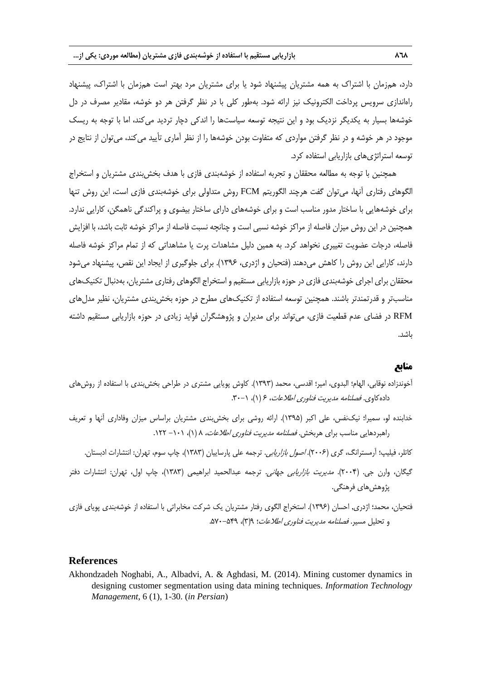دارد، همزمان با اشتراک به همه مشتریان پیشنهاد شود یا برای مشتریان مرد بهتر است همزمان با اشتراک، پیشنهاد راهاندازی سرویس پرداخت الکترونیک نیز ارائه شود. بهطور کلی با در نظر گرفتن هر دو خوشه، مقادیر مصرف در دل خوشهها بسیار به یکدیگر نزدیک بود و این نتیجه توسعه سیاستها را اندکی دچار تردید می کند، اما با توجه به ریسک موجود در هر خوشه و در نظر گرفتن مواردی که متفاوت بودن خوشهها را از نظر آماری تأیید میکند، میتوان از نتایج در توسعه استراتژیهای بازاریابی استفاده کرد.

همچنین با توجه به مطالعه محققان و تجربه استفاده از خوشهبندی فازی با هدف بخشبندی مشتریان و استخراج الگوهای رفتاری آنها، میتوان گفت هرچند الگوریتم FCM روش متداولی برای خوشهبندی فازی است، این روش تنها برای خوشههایی با ساختار مدور مناسب است و برای خوشههای دارای ساختار بیضوی و پراکندگی ناهمگن، کارایی ندارد. همچنین در این روش میزان فاصله از مراکز خوشه نسبی است و چنانچه نسبت فاصله از مراکز خوشه ثابت باشد، با افزایش فاصله، درجات عضویت تغییری نخواهد کرد. به همین دلیل مشاهدات پرت یا مشاهداتی که از تمام مراکز خوشه فاصله دارند، کارایی این روش را کاهش میدهند )فتحیان و اژدری، 7933(. برای جلوگیری از ایجاد این نقص، پیشنهاد میشود محققان برای اجرای خوشهبندی فازی در حوزه بازاریابی مستقیم و استخراج الگوهای رفتاری مشتریان، بهدنبال تکنیکهای مناسبتر و قدرتمندتر باشند. همچنین توسعه استفاده از تکنیکهای مطرح در حوزه بخشبندی مشتریان، نظیر مدلهای RFM در فضای عدم قطعیت فازی، میتواند برای مدیران و پژوهشگران فواید زیادی در حوزه بازاریابی مستقیم داشته باشد.

## **منابع**

- آخوندزاده نوقابی، الهام؛ البدوی، امیر؛ اقدسی، محمد )7939(. کاوش پویایی مشتری در طراحی بخشبندی با استفاده از روشهای داده کاوی. *فصلنامه مدیریت فناوری اطلاعات*، ۶ (۱)، ۰-۳۰.
- خدابنده لو، سمیرا؛ نیکنفس، علی اکبر (۱۳۹۵). ارائه روشی برای بخشبندی مشتریان براساس میزان وفاداری آنها و تعریف راهبردهایی مناسب برای هربخش. *فصلنامه مدیریت فناوری اطلاعات، ۸* (۱)، ۰۱-۲۲۲.

کاتلر، فیلیپ؛ آرمسترانگ، گری (۲۰۰۶*). اصول بازاریابی.* ترجمه علی پارساییان (۱۳۸۳)، چاپ سوم، تهران: انتشارات ادبستان.

- گیگان، وارن جی. (۲۰۰۴). *مدیریت بازاریابی جهانی.* ترجمه عبدالحمید ابراهیمی (۱۳۸۳)، چاپ اول، تهران: انتشارات دفتر پژوهش های فرهنگی.
- فتحیان، محمد؛ اژدری, احسان (۱۳۹۶). استخراج الگوی رفتار مشتریان یک شرکت مخابراتی با استفاده از خوشهبندی پویای فازی و تحلیل مسیر. *فصلنامه مدیریت فناوری اطلاعات؛ ۹*(۳)، ۵۲۰-۵۲۰.

### **References**

Akhondzadeh Noghabi, A., Albadvi, A. & Aghdasi, M. (2014). Mining customer dynamics in designing customer segmentation using data mining techniques. *Information Technology Management*, 6 (1), 1-30. (*in Persian*)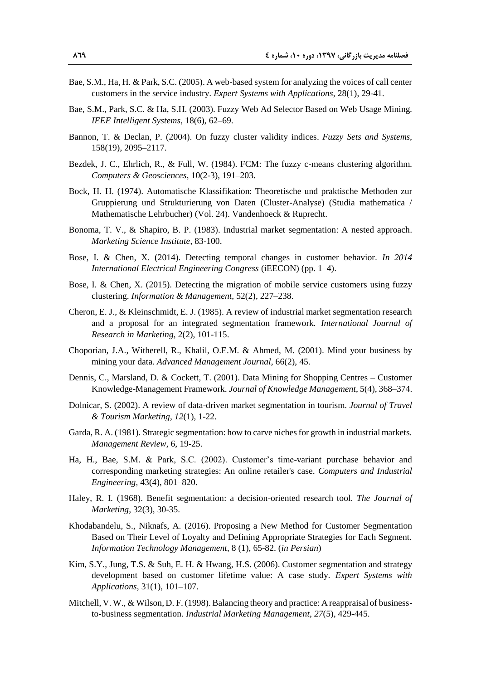- Bae, S.M., Ha, H. & Park, S.C. (2005). A web-based system for analyzing the voices of call center customers in the service industry. *Expert Systems with Applications*, 28(1), 29-41.
- Bae, S.M., Park, S.C. & Ha, S.H. (2003). Fuzzy Web Ad Selector Based on Web Usage Mining. *IEEE Intelligent Systems*, 18(6), 62–69.
- Bannon, T. & Declan, P. (2004). On fuzzy cluster validity indices. *Fuzzy Sets and Systems,* 158(19), 2095–2117.
- Bezdek, J. C., Ehrlich, R., & Full, W. (1984). FCM: The fuzzy c-means clustering algorithm. *Computers & Geosciences*, 10(2-3), 191–203.
- Bock, H. H. (1974). Automatische Klassifikation: Theoretische und praktische Methoden zur Gruppierung und Strukturierung von Daten (Cluster-Analyse) (Studia mathematica / Mathematische Lehrbucher) (Vol. 24). Vandenhoeck & Ruprecht.
- Bonoma, T. V., & Shapiro, B. P. (1983). Industrial market segmentation: A nested approach. *Marketing Science Institute*, 83-100.
- Bose, I. & Chen, X. (2014). Detecting temporal changes in customer behavior. *In 2014 International Electrical Engineering Congress* (iEECON) (pp. 1–4).
- Bose, I. & Chen, X. (2015). Detecting the migration of mobile service customers using fuzzy clustering. *Information & Management*, 52(2), 227–238.
- Cheron, E. J., & Kleinschmidt, E. J. (1985). A review of industrial market segmentation research and a proposal for an integrated segmentation framework. *International Journal of Research in Marketing*, 2(2), 101-115.
- Choporian, J.A., Witherell, R., Khalil, O.E.M. & Ahmed, M. (2001). Mind your business by mining your data. *Advanced Management Journal*, 66(2), 45.
- Dennis, C., Marsland, D. & Cockett, T. (2001). Data Mining for Shopping Centres Customer Knowledge-Management Framework. *Journal of Knowledge Management*, 5(4), 368–374.
- Dolnicar, S. (2002). A review of data-driven market segmentation in tourism. *Journal of Travel & Tourism Marketing*, *12*(1), 1-22.
- Garda, R. A. (1981). Strategic segmentation: how to carve niches for growth in industrial markets. *Management Review*, 6, 19-25.
- Ha, H., Bae, S.M. & Park, S.C. (2002). Customer's time-variant purchase behavior and corresponding marketing strategies: An online retailer's case. *Computers and Industrial Engineering,* 43(4), 801–820.
- Haley, R. I. (1968). Benefit segmentation: a decision-oriented research tool. *The Journal of Marketing,* 32(3), 30-35.
- Khodabandelu, S., Niknafs, A. (2016). Proposing a New Method for Customer Segmentation Based on Their Level of Loyalty and Defining Appropriate Strategies for Each Segment. *Information Technology Management*, 8 (1), 65-82. (*in Persian*)
- Kim, S.Y., Jung, T.S. & Suh, E. H. & Hwang, H.S. (2006). Customer segmentation and strategy development based on customer lifetime value: A case study. *Expert Systems with Applications,* 31(1), 101–107.
- Mitchell, V. W., & Wilson, D. F. (1998). Balancing theory and practice: A reappraisal of businessto-business segmentation. *Industrial Marketing Management*, *27*(5), 429-445.